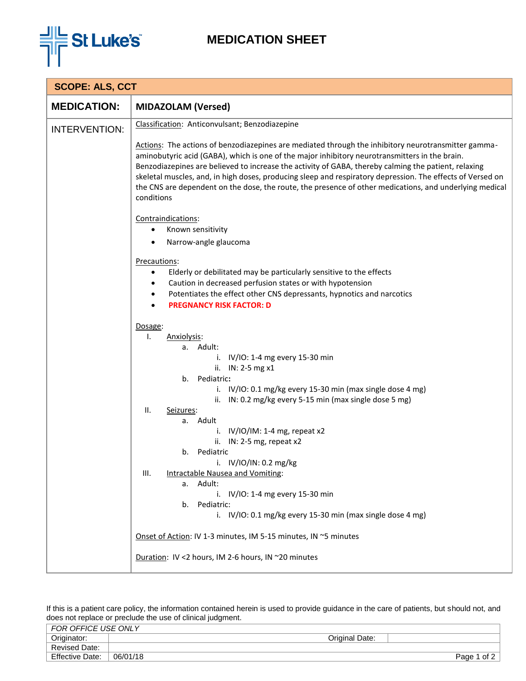

## **MEDICATION SHEET**

| <b>SCOPE: ALS, CCT</b> |                                                                                                                                                                                                                                                                                                                                                                                                                                                                                                                                                      |  |  |  |  |
|------------------------|------------------------------------------------------------------------------------------------------------------------------------------------------------------------------------------------------------------------------------------------------------------------------------------------------------------------------------------------------------------------------------------------------------------------------------------------------------------------------------------------------------------------------------------------------|--|--|--|--|
| <b>MEDICATION:</b>     | <b>MIDAZOLAM (Versed)</b>                                                                                                                                                                                                                                                                                                                                                                                                                                                                                                                            |  |  |  |  |
| <b>INTERVENTION:</b>   | Classification: Anticonvulsant; Benzodiazepine                                                                                                                                                                                                                                                                                                                                                                                                                                                                                                       |  |  |  |  |
|                        | Actions: The actions of benzodiazepines are mediated through the inhibitory neurotransmitter gamma-<br>aminobutyric acid (GABA), which is one of the major inhibitory neurotransmitters in the brain.<br>Benzodiazepines are believed to increase the activity of GABA, thereby calming the patient, relaxing<br>skeletal muscles, and, in high doses, producing sleep and respiratory depression. The effects of Versed on<br>the CNS are dependent on the dose, the route, the presence of other medications, and underlying medical<br>conditions |  |  |  |  |
|                        | Contraindications:<br>Known sensitivity                                                                                                                                                                                                                                                                                                                                                                                                                                                                                                              |  |  |  |  |
|                        |                                                                                                                                                                                                                                                                                                                                                                                                                                                                                                                                                      |  |  |  |  |
|                        | Narrow-angle glaucoma                                                                                                                                                                                                                                                                                                                                                                                                                                                                                                                                |  |  |  |  |
|                        | Precautions:<br>Elderly or debilitated may be particularly sensitive to the effects<br>$\bullet$                                                                                                                                                                                                                                                                                                                                                                                                                                                     |  |  |  |  |
|                        |                                                                                                                                                                                                                                                                                                                                                                                                                                                                                                                                                      |  |  |  |  |
|                        | Caution in decreased perfusion states or with hypotension<br>٠                                                                                                                                                                                                                                                                                                                                                                                                                                                                                       |  |  |  |  |
|                        | Potentiates the effect other CNS depressants, hypnotics and narcotics<br>٠<br><b>PREGNANCY RISK FACTOR: D</b><br>$\bullet$                                                                                                                                                                                                                                                                                                                                                                                                                           |  |  |  |  |
|                        |                                                                                                                                                                                                                                                                                                                                                                                                                                                                                                                                                      |  |  |  |  |
|                        | Dosage:                                                                                                                                                                                                                                                                                                                                                                                                                                                                                                                                              |  |  |  |  |
|                        | Ι.<br>Anxiolysis:                                                                                                                                                                                                                                                                                                                                                                                                                                                                                                                                    |  |  |  |  |
|                        | a. Adult:<br>i. $IV/IO: 1-4 mg every 15-30 min$                                                                                                                                                                                                                                                                                                                                                                                                                                                                                                      |  |  |  |  |
|                        | ii. IN: 2-5 mg x1                                                                                                                                                                                                                                                                                                                                                                                                                                                                                                                                    |  |  |  |  |
|                        | Pediatric:<br>b.                                                                                                                                                                                                                                                                                                                                                                                                                                                                                                                                     |  |  |  |  |
|                        | i. IV/IO: 0.1 mg/kg every 15-30 min (max single dose 4 mg)                                                                                                                                                                                                                                                                                                                                                                                                                                                                                           |  |  |  |  |
|                        | ii. IN: 0.2 mg/kg every 5-15 min (max single dose 5 mg)<br>Ⅱ.<br>Seizures:                                                                                                                                                                                                                                                                                                                                                                                                                                                                           |  |  |  |  |
|                        | a. Adult                                                                                                                                                                                                                                                                                                                                                                                                                                                                                                                                             |  |  |  |  |
|                        | i. $IV/IO/IM: 1-4 mg$ , repeat x2                                                                                                                                                                                                                                                                                                                                                                                                                                                                                                                    |  |  |  |  |
|                        | ii. IN: 2-5 mg, repeat x2                                                                                                                                                                                                                                                                                                                                                                                                                                                                                                                            |  |  |  |  |
|                        | b. Pediatric                                                                                                                                                                                                                                                                                                                                                                                                                                                                                                                                         |  |  |  |  |
|                        | i. $IV/IO/IN: 0.2 mg/kg$<br>Intractable Nausea and Vomiting:<br>III.                                                                                                                                                                                                                                                                                                                                                                                                                                                                                 |  |  |  |  |
|                        | a. Adult:                                                                                                                                                                                                                                                                                                                                                                                                                                                                                                                                            |  |  |  |  |
|                        | i. IV/IO: 1-4 mg every 15-30 min                                                                                                                                                                                                                                                                                                                                                                                                                                                                                                                     |  |  |  |  |
|                        | Pediatric:<br>b.<br>i. IV/IO: 0.1 mg/kg every 15-30 min (max single dose 4 mg)                                                                                                                                                                                                                                                                                                                                                                                                                                                                       |  |  |  |  |
|                        |                                                                                                                                                                                                                                                                                                                                                                                                                                                                                                                                                      |  |  |  |  |
|                        | Onset of Action: IV 1-3 minutes, IM 5-15 minutes, IN ~5 minutes                                                                                                                                                                                                                                                                                                                                                                                                                                                                                      |  |  |  |  |
|                        | Duration: IV <2 hours, IM 2-6 hours, IN ~20 minutes                                                                                                                                                                                                                                                                                                                                                                                                                                                                                                  |  |  |  |  |

If this is a patient care policy, the information contained herein is used to provide guidance in the care of patients, but should not, and does not replace or preclude the use of clinical judgment.

| FOR OFFICE USE ONLY    |          |                |                |
|------------------------|----------|----------------|----------------|
| Originator:            |          | Original Date: |                |
| <b>Revised Date:</b>   |          |                |                |
| <b>Effective Date:</b> | 06/01/18 |                | of 2<br>Page 1 |
|                        |          |                |                |